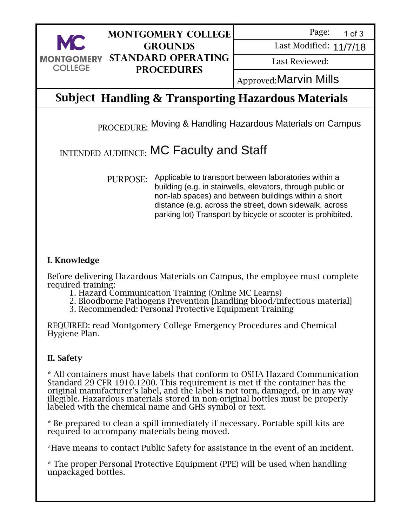

### **Montgomery College Grounds Standard Operating Procedures**

Page: 1 of 3

Last Modified: 11/7/18

Last Reviewed:

Last Modified: 11/7/18<br>Last Reviewed:<br>Approved:**Marvin Mills** 

## Subject **Handling & Transporting Hazardous Materials**

PROCEDURE: Moving & Handling Hazardous Materials on Campus

# INTENDED AUDIENCE:  $MC$  Faculty and Staff

PURPOSE: Applicable to transport between laboratories within a building (e.g. in stairwells, elevators, through public or non-lab spaces) and between buildings within a short distance (e.g. across the street, down sidewalk, across parking lot) Transport by bicycle or scooter is prohibited.

#### I. Knowledge

Before delivering Hazardous Materials on Campus, the employee must complete required training:

- 1. Hazard Communication Training (Online MC Learns)
- 2. Bloodborne Pathogens Prevention [handling blood/infectious material]
- 3. Recommended: Personal Protective Equipment Training

REQUIRED: read Montgomery College Emergency Procedures and Chemical Hygiene Plan.

#### II. Safety

\* All containers must have labels that conform to OSHA Hazard Communication Standard 29 CFR 1910.1200. This requirement is met if the container has the original manufacturer's label, and the label is not torn, damaged, or in any way illegible. Hazardous materials stored in non-original bottles must be properly labeled with the chemical name and GHS symbol or text.

\* Be prepared to clean a spill immediately if necessary. Portable spill kits are required to accompany materials being moved.

\*Have means to contact Public Safety for assistance in the event of an incident.

\* The proper Personal Protective Equipment (PPE) will be used when handling unpackaged bottles.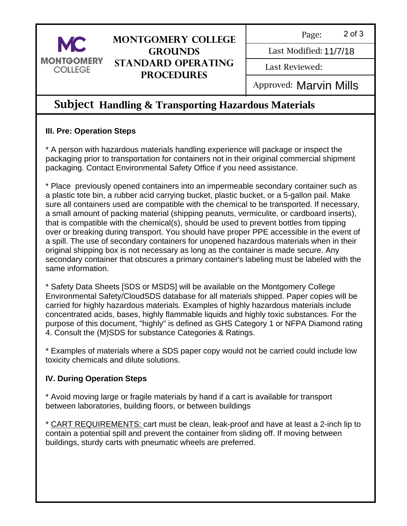

### **Montgomery College Grounds Standard Operating Procedures**

Page: 2 of 3

Last Modified: 11/7/18

Last Reviewed:

Last Modified: 11/7/18<br>Last Reviewed:<br>Approved: **Marvin Mills** 

### Subject **Handling & Transporting Hazardous Materials**

### **III. Pre: Operation Steps**

\* A person with hazardous materials handling experience will package or inspect the packaging prior to transportation for containers not in their original commercial shipment packaging. Contact Environmental Safety Office if you need assistance.

\* Place previously opened containers into an impermeable secondary container such as a plastic tote bin, a rubber acid carrying bucket, plastic bucket, or a 5-gallon pail. Make sure all containers used are compatible with the chemical to be transported. If necessary, a small amount of packing material (shipping peanuts, vermiculite, or cardboard inserts), that is compatible with the chemical(s), should be used to prevent bottles from tipping over or breaking during transport. You should have proper PPE accessible in the event of a spill. The use of secondary containers for unopened hazardous materials when in their original shipping box is not necessary as long as the container is made secure. Any secondary container that obscures a primary container's labeling must be labeled with the same information.

\* Safety Data Sheets [SDS or MSDS] will be available on the Montgomery College Environmental Safety/CloudSDS database for all materials shipped. Paper copies will be carried for highly hazardous materials. Examples of highly hazardous materials include concentrated acids, bases, highly flammable liquids and highly toxic substances. For the purpose of this document, "highly" is defined as GHS Category 1 or NFPA Diamond rating 4. Consult the (M)SDS for substance Categories & Ratings.

\* Examples of materials where a SDS paper copy would not be carried could include low toxicity chemicals and dilute solutions.

### **IV. During Operation Steps**

\* Avoid moving large or fragile materials by hand if a cart is available for transport between laboratories, building floors, or between buildings

\* CART REQUIREMENTS: cart must be clean, leak-proof and have at least a 2-inch lip to contain a potential spill and prevent the container from sliding off. If moving between buildings, sturdy carts with pneumatic wheels are preferred.